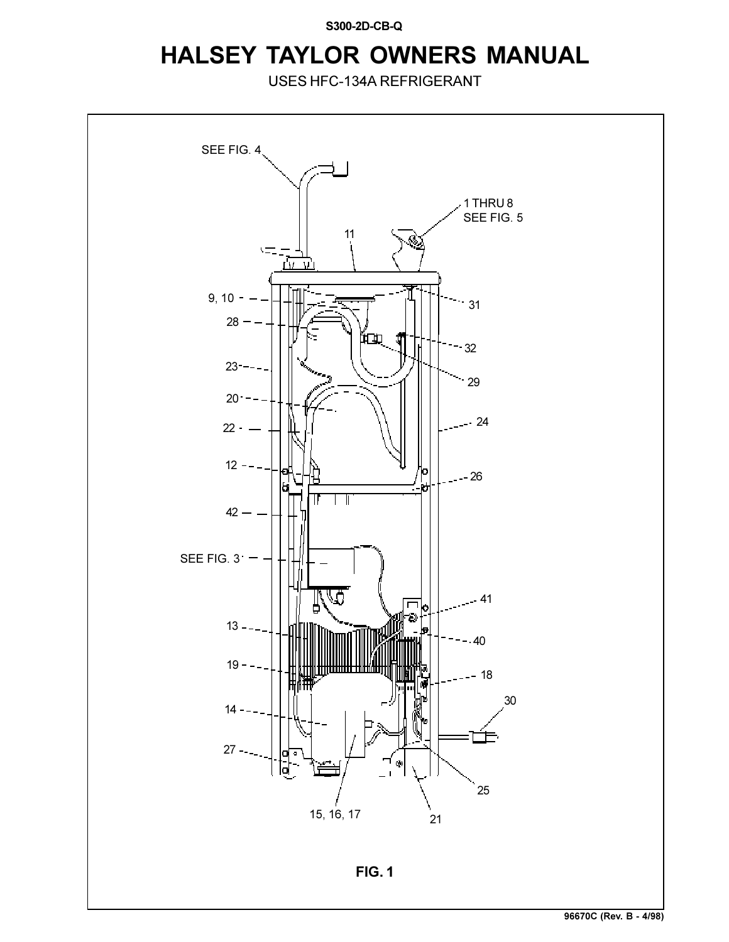**S300-2D-CB-Q**

## **HALSEY TAYLOR OWNERS MANUAL**

USES HFC-134A REFRIGERANT

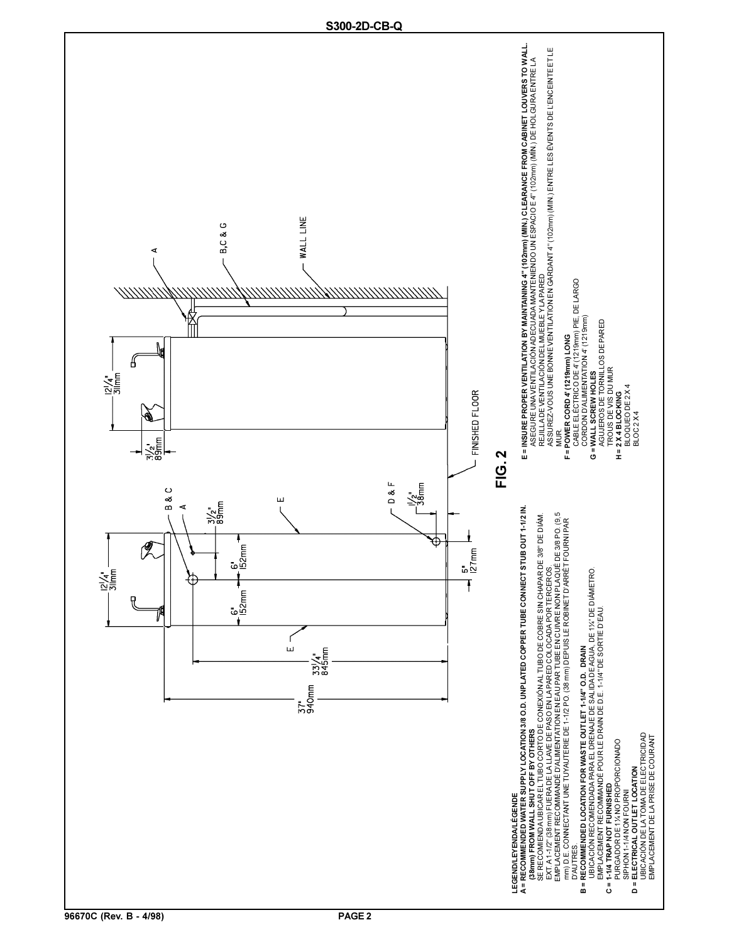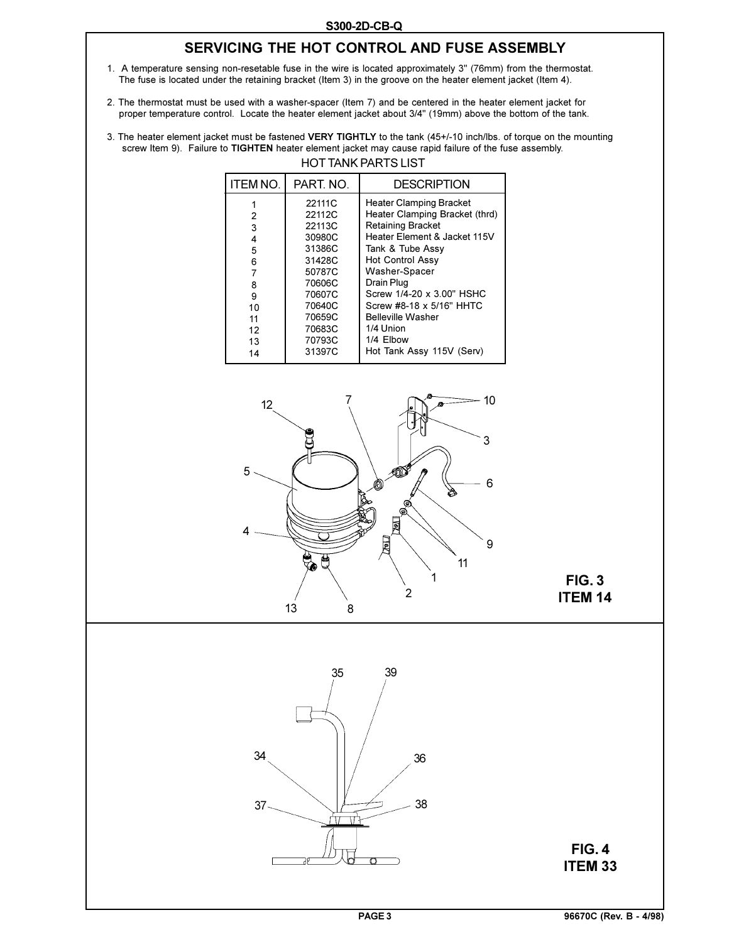## **SERVICING THE HOT CONTROL AND FUSE ASSEMBLY**

- 1. A temperature sensing non-resetable fuse in the wire is located approximately 3" (76mm) from the thermostat. The fuse is located under the retaining bracket (Item 3) in the groove on the heater element jacket (Item 4).
- 2. The thermostat must be used with a washer-spacer (Item 7) and be centered in the heater element jacket for proper temperature control. Locate the heater element jacket about 3/4" (19mm) above the bottom of the tank.
- HOT TANK PARTS LIST 3. The heater element jacket must be fastened **VERY TIGHTLY** to the tank (45+/-10 inch/lbs. of torque on the mounting screw Item 9). Failure to **TIGHTEN** heater element jacket may cause rapid failure of the fuse assembly.

| <b>ITEM NO.</b> | PART. NO. | <b>DESCRIPTION</b>             |
|-----------------|-----------|--------------------------------|
|                 | 22111C    | Heater Clamping Bracket        |
| 2               | 22112C    | Heater Clamping Bracket (thrd) |
| 3               | 22113C    | <b>Retaining Bracket</b>       |
| 4               | 30980C    | Heater Element & Jacket 115V   |
| 5               | 31386C    | Tank & Tube Assy               |
| 6               | 31428C    | <b>Hot Control Assy</b>        |
| 7               | 50787C    | Washer-Spacer                  |
| 8               | 70606C    | Drain Plug                     |
| 9               | 70607C    | Screw 1/4-20 x 3.00" HSHC      |
| 10              | 70640C    | Screw #8-18 x 5/16" HHTC       |
| 11              | 70659C    | <b>Belleville Washer</b>       |
| 12              | 70683C    | 1/4 Union                      |
| 13              | 70793C    | 1/4 Elbow                      |
| 14              | 31397C    | Hot Tank Assy 115V (Serv)      |







**FIG. 4 ITEM 33**